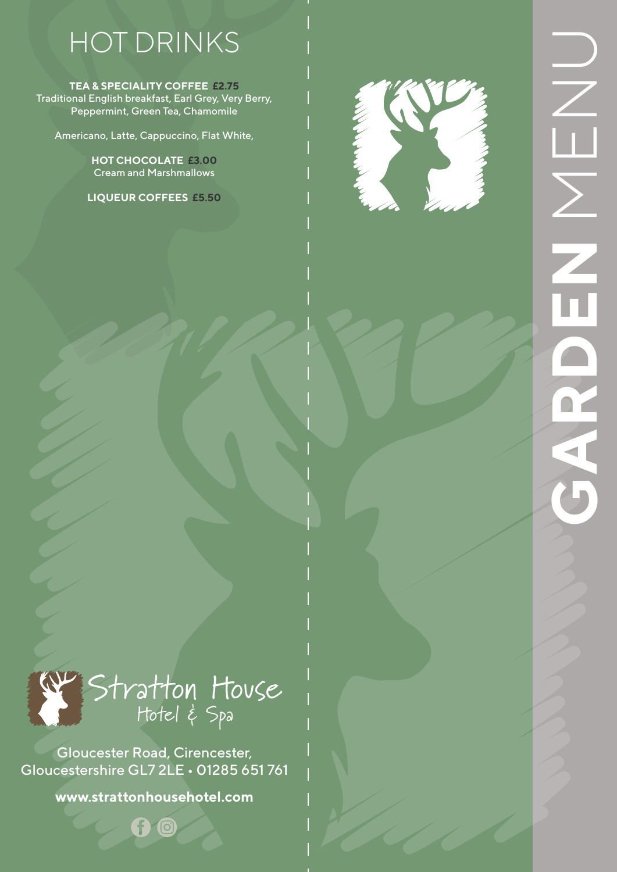# HOT DRINKS

**TEA & SPECIALITY COFFEE £2.75** Traditional English breakfast, Earl Grey, Very Berry, Peppermint, Green Tea, Chamomile

Americano, Latte, Cappuccino, Flat White,

**HOT CHOCOLATE £3.00** Cream and Marshmallows

**LIQUEUR COFFEES £5.50**





Gloucester Road, Cirencester, Gloucestershire GL7 2LE • 01285 651 761

**www.strattonhousehotel.com**

G ©